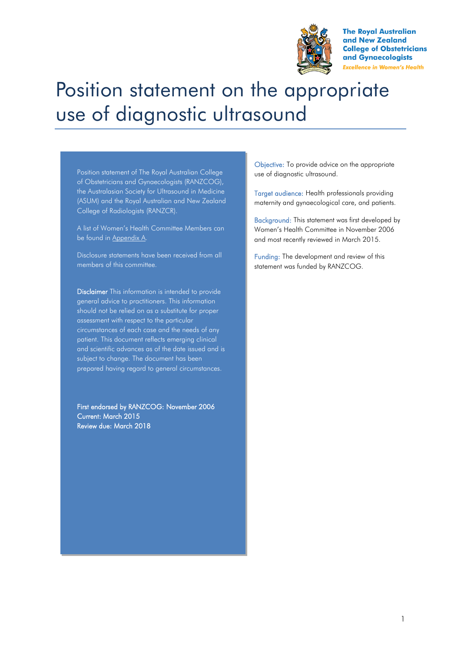

**The Roval Australian** and New Zealand **College of Obstetricians** and Gynaecologists **Excellence in Women's Health** 

# Position statement on the appropriate use of diagnostic ultrasound

Position statement of The Royal Australian College of Obstetricians and Gynaecologists (RANZCOG), the Australasian Society for Ultrasound in Medicine (ASUM) and the Royal Australian and New Zealand College of Radiologists (RANZCR).

A list of Women's Health Committee Members can be found in Appendix A.

Disclosure statements have been received from all members of this committee.

Disclaimer This information is intended to provide general advice to practitioners. This information should not be relied on as a substitute for proper assessment with respect to the particular circumstances of each case and the needs of any patient. This document reflects emerging clinical and scientific advances as of the date issued and is subject to change. The document has been prepared having regard to general circumstances.

First endorsed by RANZCOG: November 2006 Current: March 2015 Review due: March 2018

Objective: To provide advice on the appropriate use of diagnostic ultrasound.

Target audience: Health professionals providing maternity and gynaecological care, and patients.

Background: This statement was first developed by Women's Health Committee in November 2006 and most recently reviewed in March 2015.

Funding: The development and review of this statement was funded by RANZCOG.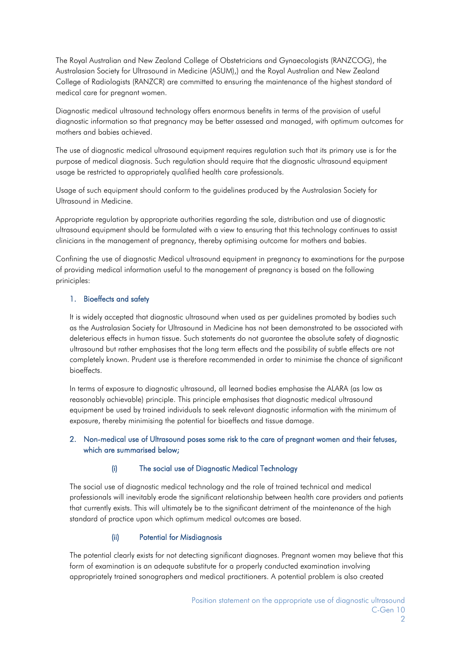The Royal Australian and New Zealand College of Obstetricians and Gynaecologists (RANZCOG), the Australasian Society for Ultrasound in Medicine (ASUM),) and the Royal Australian and New Zealand College of Radiologists (RANZCR) are committed to ensuring the maintenance of the highest standard of medical care for pregnant women.

Diagnostic medical ultrasound technology offers enormous benefits in terms of the provision of useful diagnostic information so that pregnancy may be better assessed and managed, with optimum outcomes for mothers and babies achieved.

The use of diagnostic medical ultrasound equipment requires regulation such that its primary use is for the purpose of medical diagnosis. Such regulation should require that the diagnostic ultrasound equipment usage be restricted to appropriately qualified health care professionals.

Usage of such equipment should conform to the guidelines produced by the Australasian Society for Ultrasound in Medicine.

Appropriate regulation by appropriate authorities regarding the sale, distribution and use of diagnostic ultrasound equipment should be formulated with a view to ensuring that this technology continues to assist clinicians in the management of pregnancy, thereby optimising outcome for mothers and babies.

Confining the use of diagnostic Medical ultrasound equipment in pregnancy to examinations for the purpose of providing medical information useful to the management of pregnancy is based on the following priniciples:

## 1. Bioeffects and safety

It is widely accepted that diagnostic ultrasound when used as per guidelines promoted by bodies such as the Australasian Society for Ultrasound in Medicine has not been demonstrated to be associated with deleterious effects in human tissue. Such statements do not guarantee the absolute safety of diagnostic ultrasound but rather emphasises that the long term effects and the possibility of subtle effects are not completely known. Prudent use is therefore recommended in order to minimise the chance of significant bioeffects.

In terms of exposure to diagnostic ultrasound, all learned bodies emphasise the ALARA (as low as reasonably achievable) principle. This principle emphasises that diagnostic medical ultrasound equipment be used by trained individuals to seek relevant diagnostic information with the minimum of exposure, thereby minimising the potential for bioeffects and tissue damage.

## 2. Non-medical use of Ultrasound poses some risk to the care of pregnant women and their fetuses, which are summarised below;

### (i) The social use of Diagnostic Medical Technology

The social use of diagnostic medical technology and the role of trained technical and medical professionals will inevitably erode the significant relationship between health care providers and patients that currently exists. This will ultimately be to the significant detriment of the maintenance of the high standard of practice upon which optimum medical outcomes are based.

## (ii) Potential for Misdiagnosis

The potential clearly exists for not detecting significant diagnoses. Pregnant women may believe that this form of examination is an adequate substitute for a properly conducted examination involving appropriately trained sonographers and medical practitioners. A potential problem is also created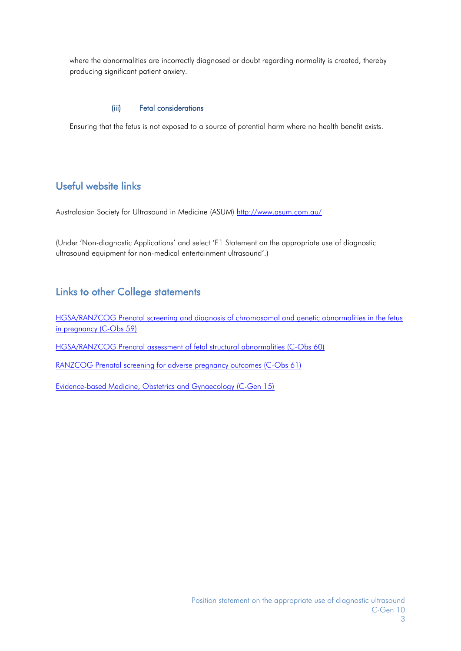where the abnormalities are incorrectly diagnosed or doubt regarding normality is created, thereby producing significant patient anxiety.

## (iii) Fetal considerations

Ensuring that the fetus is not exposed to a source of potential harm where no health benefit exists.

## Useful website links

Australasian Society for Ultrasound in Medicine (ASUM) <http://www.asum.com.au/>

(Under 'Non-diagnostic Applications' and select 'F1 Statement on the appropriate use of diagnostic ultrasound equipment for non-medical entertainment ultrasound'.)

## Links to other College statements

[HGSA/RANZCOG Prenatal screening and diagnosis of chromosomal and genetic abnormalities in the fetus](https://www.ranzcog.edu.au/RANZCOG_SITE/media/RANZCOG-MEDIA/Women%27s%20Health/Statement%20and%20guidelines/Clinical-Obstetrics/Prenatal-screening-and-diagnosis-of-chromosomal-and-genetic-conditions-(C-Obs-59)-Amended-May-2016_1.pdf?ext=.pdf)  [in pregnancy \(C-Obs 59\)](https://www.ranzcog.edu.au/RANZCOG_SITE/media/RANZCOG-MEDIA/Women%27s%20Health/Statement%20and%20guidelines/Clinical-Obstetrics/Prenatal-screening-and-diagnosis-of-chromosomal-and-genetic-conditions-(C-Obs-59)-Amended-May-2016_1.pdf?ext=.pdf)

[HGSA/RANZCOG Prenatal assessment of fetal structural abnormalities \(C-Obs 60\)](https://www.ranzcog.edu.au/RANZCOG_SITE/media/RANZCOG-MEDIA/Women%27s%20Health/Statement%20and%20guidelines/Clinical-Obstetrics/Prenatal-assessment-of-fetal-structural-conditions-(C-Obs-60)-Amended-May-2016_1.pdf?ext=.pdf)

[RANZCOG Prenatal screening for adverse pregnancy outcomes \(C-Obs 61\)](https://www.ranzcog.edu.au/RANZCOG_SITE/media/RANZCOG-MEDIA/Women%27s%20Health/Statement%20and%20guidelines/Clinical-Obstetrics/Screening-in-Early-Pregnancy-for-Adverse-Perinatal-Outcomes-(C-Obs-61)-New-July-2015.pdf?ext=.pdf)

[Evidence-based Medicine, Obstetrics and Gynaecology](https://www.ranzcog.edu.au/RANZCOG_SITE/media/RANZCOG-MEDIA/Women%27s%20Health/Statement%20and%20guidelines/Clinical%20-%20General/Evidence-based-medicine,-Obstetrics-and-Gynaecology-(C-Gen-15)-Review-March-2016.pdf?ext=.pdf) (C-Gen 15)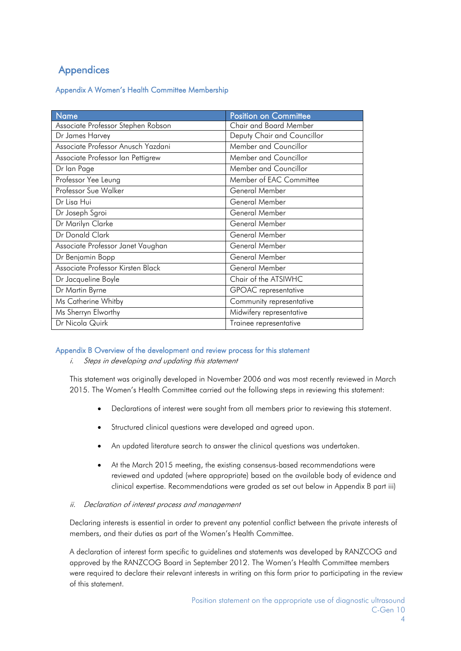## **Appendices**

Appendix A Women's Health Committee Membership

| Name                               | Position on Committee       |  |
|------------------------------------|-----------------------------|--|
| Associate Professor Stephen Robson | Chair and Board Member      |  |
| Dr James Harvey                    | Deputy Chair and Councillor |  |
| Associate Professor Anusch Yazdani | Member and Councillor       |  |
| Associate Professor Ian Pettigrew  | Member and Councillor       |  |
| Dr Ian Page                        | Member and Councillor       |  |
| Professor Yee Leung                | Member of EAC Committee     |  |
| Professor Sue Walker               | General Member              |  |
| Dr Lisa Hui                        | General Member              |  |
| Dr Joseph Sgroi                    | General Member              |  |
| Dr Marilyn Clarke                  | General Member              |  |
| Dr Donald Clark                    | General Member              |  |
| Associate Professor Janet Vaughan  | General Member              |  |
| Dr Benjamin Bopp                   | General Member              |  |
| Associate Professor Kirsten Black  | General Member              |  |
| Dr Jacqueline Boyle                | Chair of the ATSIWHC        |  |
| Dr Martin Byrne                    | GPOAC representative        |  |
| Ms Catherine Whitby                | Community representative    |  |
| Ms Sherryn Elworthy                | Midwifery representative    |  |
| Dr Nicola Quirk                    | Trainee representative      |  |

## Appendix B Overview of the development and review process for this statement

i. Steps in developing and updating this statement

This statement was originally developed in November 2006 and was most recently reviewed in March 2015. The Women's Health Committee carried out the following steps in reviewing this statement:

- Declarations of interest were sought from all members prior to reviewing this statement.
- Structured clinical questions were developed and agreed upon.
- An updated literature search to answer the clinical questions was undertaken.
- At the March 2015 meeting, the existing consensus-based recommendations were reviewed and updated (where appropriate) based on the available body of evidence and clinical expertise. Recommendations were graded as set out below in Appendix B part iii)

### ii. Declaration of interest process and management

Declaring interests is essential in order to prevent any potential conflict between the private interests of members, and their duties as part of the Women's Health Committee.

A declaration of interest form specific to guidelines and statements was developed by RANZCOG and approved by the RANZCOG Board in September 2012. The Women's Health Committee members were required to declare their relevant interests in writing on this form prior to participating in the review of this statement.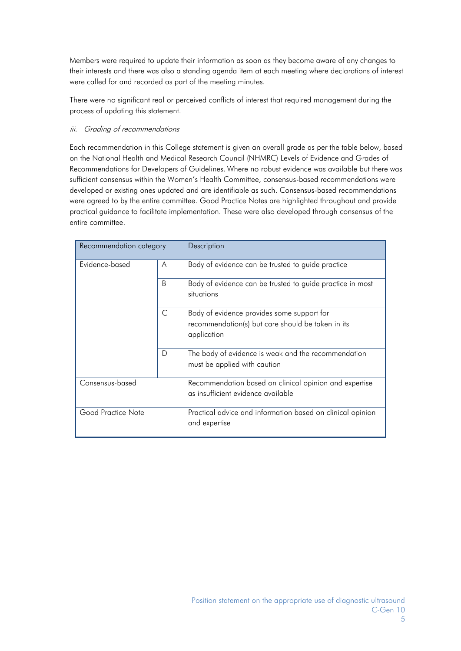Members were required to update their information as soon as they become aware of any changes to their interests and there was also a standing agenda item at each meeting where declarations of interest were called for and recorded as part of the meeting minutes.

There were no significant real or perceived conflicts of interest that required management during the process of updating this statement.

## iii. Grading of recommendations

Each recommendation in this College statement is given an overall grade as per the table below, based on the National Health and Medical Research Council (NHMRC) Levels of Evidence and Grades of Recommendations for Developers of Guidelines. Where no robust evidence was available but there was sufficient consensus within the Women's Health Committee, consensus-based recommendations were developed or existing ones updated and are identifiable as such. Consensus-based recommendations were agreed to by the entire committee. Good Practice Notes are highlighted throughout and provide practical guidance to facilitate implementation. These were also developed through consensus of the entire committee.

| Recommendation category |   | Description                                                                                                    |
|-------------------------|---|----------------------------------------------------------------------------------------------------------------|
| Evidence-based          | A | Body of evidence can be trusted to guide practice                                                              |
|                         | B | Body of evidence can be trusted to guide practice in most<br>situations                                        |
|                         | C | Body of evidence provides some support for<br>recommendation(s) but care should be taken in its<br>application |
|                         | D | The body of evidence is weak and the recommendation<br>must be applied with caution                            |
| Consensus-based         |   | Recommendation based on clinical opinion and expertise<br>as insufficient evidence available                   |
| Good Practice Note      |   | Practical advice and information based on clinical opinion<br>and expertise                                    |